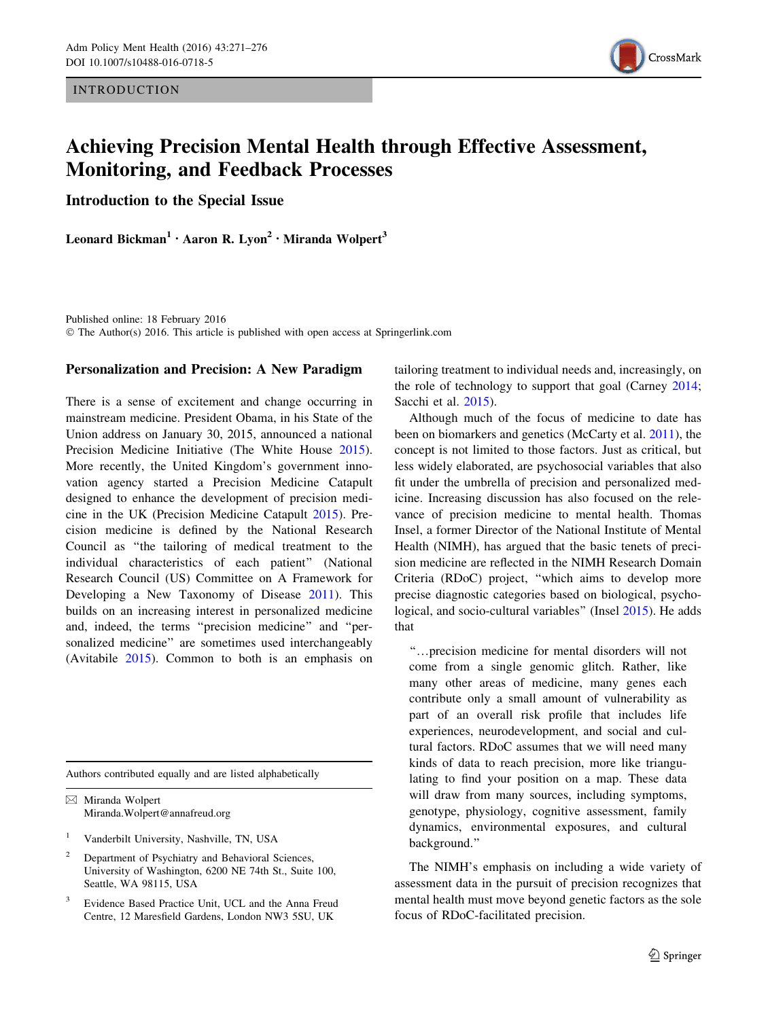**INTRODUCTION** 



# Achieving Precision Mental Health through Effective Assessment, Monitoring, and Feedback Processes

Introduction to the Special Issue

Leonard Bickman<sup>1</sup> · Aaron R. Lyon<sup>2</sup> · Miranda Wolpert<sup>3</sup>

Published online: 18 February 2016 © The Author(s) 2016. This article is published with open access at Springerlink.com

### Personalization and Precision: A New Paradigm

There is a sense of excitement and change occurring in mainstream medicine. President Obama, in his State of the Union address on January 30, 2015, announced a national Precision Medicine Initiative (The White House [2015](#page-5-0)). More recently, the United Kingdom's government innovation agency started a Precision Medicine Catapult designed to enhance the development of precision medicine in the UK (Precision Medicine Catapult [2015\)](#page-5-0). Precision medicine is defined by the National Research Council as ''the tailoring of medical treatment to the individual characteristics of each patient'' (National Research Council (US) Committee on A Framework for Developing a New Taxonomy of Disease [2011\)](#page-5-0). This builds on an increasing interest in personalized medicine and, indeed, the terms ''precision medicine'' and ''personalized medicine'' are sometimes used interchangeably (Avitabile [2015](#page-4-0)). Common to both is an emphasis on

Authors contributed equally and are listed alphabetically

& Miranda Wolpert Miranda.Wolpert@annafreud.org

- <sup>1</sup> Vanderbilt University, Nashville, TN, USA
- <sup>2</sup> Department of Psychiatry and Behavioral Sciences, University of Washington, 6200 NE 74th St., Suite 100, Seattle, WA 98115, USA
- Evidence Based Practice Unit, UCL and the Anna Freud Centre, 12 Maresfield Gardens, London NW3 5SU, UK

tailoring treatment to individual needs and, increasingly, on the role of technology to support that goal (Carney [2014](#page-5-0); Sacchi et al. [2015\)](#page-5-0).

Although much of the focus of medicine to date has been on biomarkers and genetics (McCarty et al. [2011\)](#page-5-0), the concept is not limited to those factors. Just as critical, but less widely elaborated, are psychosocial variables that also fit under the umbrella of precision and personalized medicine. Increasing discussion has also focused on the relevance of precision medicine to mental health. Thomas Insel, a former Director of the National Institute of Mental Health (NIMH), has argued that the basic tenets of precision medicine are reflected in the NIMH Research Domain Criteria (RDoC) project, ''which aims to develop more precise diagnostic categories based on biological, psycho-logical, and socio-cultural variables" (Insel [2015](#page-5-0)). He adds that

''…precision medicine for mental disorders will not come from a single genomic glitch. Rather, like many other areas of medicine, many genes each contribute only a small amount of vulnerability as part of an overall risk profile that includes life experiences, neurodevelopment, and social and cultural factors. RDoC assumes that we will need many kinds of data to reach precision, more like triangulating to find your position on a map. These data will draw from many sources, including symptoms, genotype, physiology, cognitive assessment, family dynamics, environmental exposures, and cultural background.''

The NIMH's emphasis on including a wide variety of assessment data in the pursuit of precision recognizes that mental health must move beyond genetic factors as the sole focus of RDoC-facilitated precision.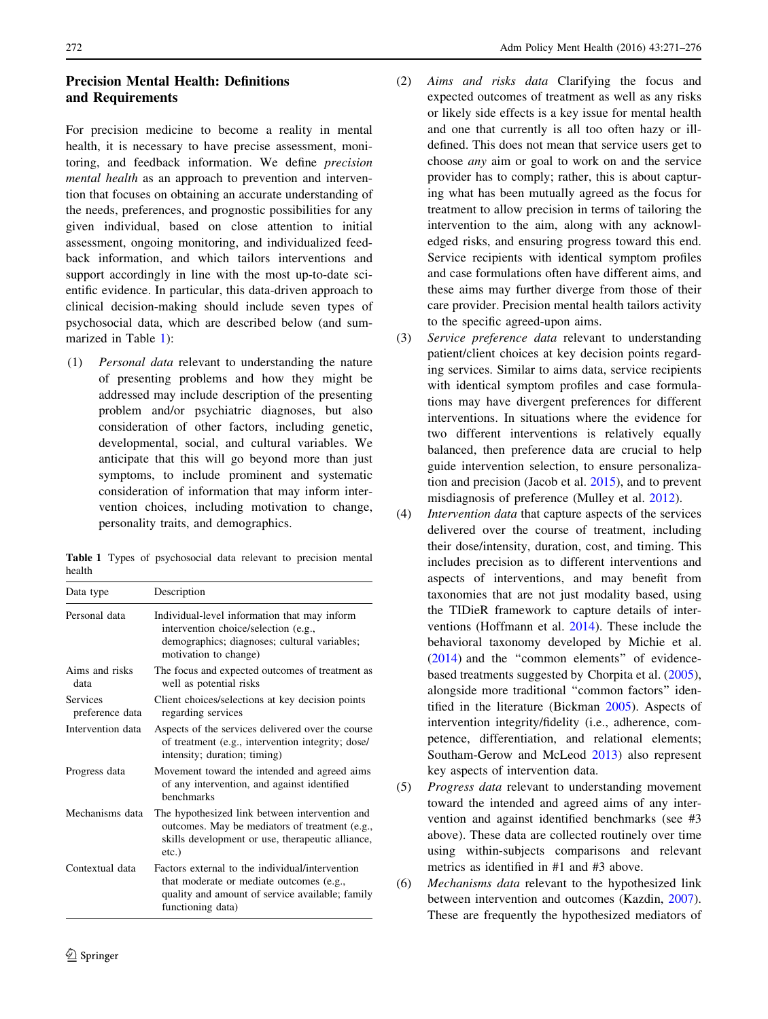# Precision Mental Health: Definitions and Requirements

For precision medicine to become a reality in mental health, it is necessary to have precise assessment, monitoring, and feedback information. We define precision mental health as an approach to prevention and intervention that focuses on obtaining an accurate understanding of the needs, preferences, and prognostic possibilities for any given individual, based on close attention to initial assessment, ongoing monitoring, and individualized feedback information, and which tailors interventions and support accordingly in line with the most up-to-date scientific evidence. In particular, this data-driven approach to clinical decision-making should include seven types of psychosocial data, which are described below (and summarized in Table 1):

(1) Personal data relevant to understanding the nature of presenting problems and how they might be addressed may include description of the presenting problem and/or psychiatric diagnoses, but also consideration of other factors, including genetic, developmental, social, and cultural variables. We anticipate that this will go beyond more than just symptoms, to include prominent and systematic consideration of information that may inform intervention choices, including motivation to change, personality traits, and demographics.

Table 1 Types of psychosocial data relevant to precision mental health

| Data type                   | Description                                                                                                                                                         |
|-----------------------------|---------------------------------------------------------------------------------------------------------------------------------------------------------------------|
| Personal data               | Individual-level information that may inform<br>intervention choice/selection (e.g.,<br>demographics; diagnoses; cultural variables;<br>motivation to change)       |
| Aims and risks<br>data      | The focus and expected outcomes of treatment as<br>well as potential risks                                                                                          |
| Services<br>preference data | Client choices/selections at key decision points<br>regarding services                                                                                              |
| Intervention data           | Aspects of the services delivered over the course<br>of treatment (e.g., intervention integrity; dose/<br>intensity; duration; timing)                              |
| Progress data               | Movement toward the intended and agreed aims<br>of any intervention, and against identified<br>benchmarks                                                           |
| Mechanisms data             | The hypothesized link between intervention and<br>outcomes. May be mediators of treatment (e.g.,<br>skills development or use, therapeutic alliance,<br>$etc.$ )    |
| Contextual data             | Factors external to the individual/intervention<br>that moderate or mediate outcomes (e.g.,<br>quality and amount of service available; family<br>functioning data) |

- (2) Aims and risks data Clarifying the focus and expected outcomes of treatment as well as any risks or likely side effects is a key issue for mental health and one that currently is all too often hazy or illdefined. This does not mean that service users get to choose any aim or goal to work on and the service provider has to comply; rather, this is about capturing what has been mutually agreed as the focus for treatment to allow precision in terms of tailoring the intervention to the aim, along with any acknowledged risks, and ensuring progress toward this end. Service recipients with identical symptom profiles and case formulations often have different aims, and these aims may further diverge from those of their care provider. Precision mental health tailors activity to the specific agreed-upon aims.
- (3) Service preference data relevant to understanding patient/client choices at key decision points regarding services. Similar to aims data, service recipients with identical symptom profiles and case formulations may have divergent preferences for different interventions. In situations where the evidence for two different interventions is relatively equally balanced, then preference data are crucial to help guide intervention selection, to ensure personalization and precision (Jacob et al. [2015\)](#page-5-0), and to prevent misdiagnosis of preference (Mulley et al. [2012\)](#page-5-0).
- (4) Intervention data that capture aspects of the services delivered over the course of treatment, including their dose/intensity, duration, cost, and timing. This includes precision as to different interventions and aspects of interventions, and may benefit from taxonomies that are not just modality based, using the TIDieR framework to capture details of interventions (Hoffmann et al. [2014\)](#page-5-0). These include the behavioral taxonomy developed by Michie et al. [\(2014](#page-5-0)) and the ''common elements'' of evidencebased treatments suggested by Chorpita et al. [\(2005](#page-5-0)), alongside more traditional ''common factors'' identified in the literature (Bickman [2005\)](#page-5-0). Aspects of intervention integrity/fidelity (i.e., adherence, competence, differentiation, and relational elements; Southam-Gerow and McLeod [2013](#page-5-0)) also represent key aspects of intervention data.
- (5) Progress data relevant to understanding movement toward the intended and agreed aims of any intervention and against identified benchmarks (see #3 above). These data are collected routinely over time using within-subjects comparisons and relevant metrics as identified in #1 and #3 above.
- (6) Mechanisms data relevant to the hypothesized link between intervention and outcomes (Kazdin, [2007](#page-5-0)). These are frequently the hypothesized mediators of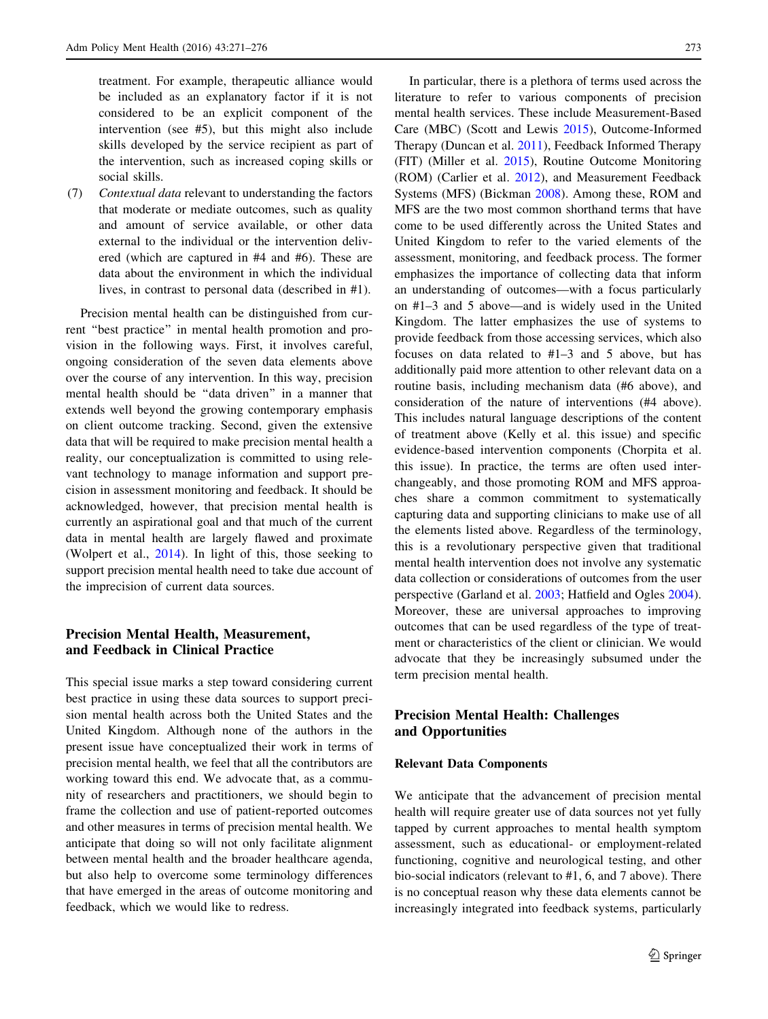treatment. For example, therapeutic alliance would be included as an explanatory factor if it is not considered to be an explicit component of the intervention (see #5), but this might also include skills developed by the service recipient as part of the intervention, such as increased coping skills or social skills.

(7) Contextual data relevant to understanding the factors that moderate or mediate outcomes, such as quality and amount of service available, or other data external to the individual or the intervention delivered (which are captured in #4 and #6). These are data about the environment in which the individual lives, in contrast to personal data (described in #1).

Precision mental health can be distinguished from current ''best practice'' in mental health promotion and provision in the following ways. First, it involves careful, ongoing consideration of the seven data elements above over the course of any intervention. In this way, precision mental health should be ''data driven'' in a manner that extends well beyond the growing contemporary emphasis on client outcome tracking. Second, given the extensive data that will be required to make precision mental health a reality, our conceptualization is committed to using relevant technology to manage information and support precision in assessment monitoring and feedback. It should be acknowledged, however, that precision mental health is currently an aspirational goal and that much of the current data in mental health are largely flawed and proximate (Wolpert et al., [2014](#page-5-0)). In light of this, those seeking to support precision mental health need to take due account of the imprecision of current data sources.

# Precision Mental Health, Measurement, and Feedback in Clinical Practice

This special issue marks a step toward considering current best practice in using these data sources to support precision mental health across both the United States and the United Kingdom. Although none of the authors in the present issue have conceptualized their work in terms of precision mental health, we feel that all the contributors are working toward this end. We advocate that, as a community of researchers and practitioners, we should begin to frame the collection and use of patient-reported outcomes and other measures in terms of precision mental health. We anticipate that doing so will not only facilitate alignment between mental health and the broader healthcare agenda, but also help to overcome some terminology differences that have emerged in the areas of outcome monitoring and feedback, which we would like to redress.

In particular, there is a plethora of terms used across the literature to refer to various components of precision mental health services. These include Measurement-Based Care (MBC) (Scott and Lewis [2015](#page-5-0)), Outcome-Informed Therapy (Duncan et al. [2011\)](#page-5-0), Feedback Informed Therapy (FIT) (Miller et al. [2015](#page-5-0)), Routine Outcome Monitoring (ROM) (Carlier et al. [2012](#page-5-0)), and Measurement Feedback Systems (MFS) (Bickman [2008](#page-5-0)). Among these, ROM and MFS are the two most common shorthand terms that have come to be used differently across the United States and United Kingdom to refer to the varied elements of the assessment, monitoring, and feedback process. The former emphasizes the importance of collecting data that inform an understanding of outcomes—with a focus particularly on #1–3 and 5 above—and is widely used in the United Kingdom. The latter emphasizes the use of systems to provide feedback from those accessing services, which also focuses on data related to #1–3 and 5 above, but has additionally paid more attention to other relevant data on a routine basis, including mechanism data (#6 above), and consideration of the nature of interventions (#4 above). This includes natural language descriptions of the content of treatment above (Kelly et al. this issue) and specific evidence-based intervention components (Chorpita et al. this issue). In practice, the terms are often used interchangeably, and those promoting ROM and MFS approaches share a common commitment to systematically capturing data and supporting clinicians to make use of all the elements listed above. Regardless of the terminology, this is a revolutionary perspective given that traditional mental health intervention does not involve any systematic data collection or considerations of outcomes from the user perspective (Garland et al. [2003](#page-5-0); Hatfield and Ogles [2004](#page-5-0)). Moreover, these are universal approaches to improving outcomes that can be used regardless of the type of treatment or characteristics of the client or clinician. We would advocate that they be increasingly subsumed under the term precision mental health.

# Precision Mental Health: Challenges and Opportunities

### Relevant Data Components

We anticipate that the advancement of precision mental health will require greater use of data sources not yet fully tapped by current approaches to mental health symptom assessment, such as educational- or employment-related functioning, cognitive and neurological testing, and other bio-social indicators (relevant to #1, 6, and 7 above). There is no conceptual reason why these data elements cannot be increasingly integrated into feedback systems, particularly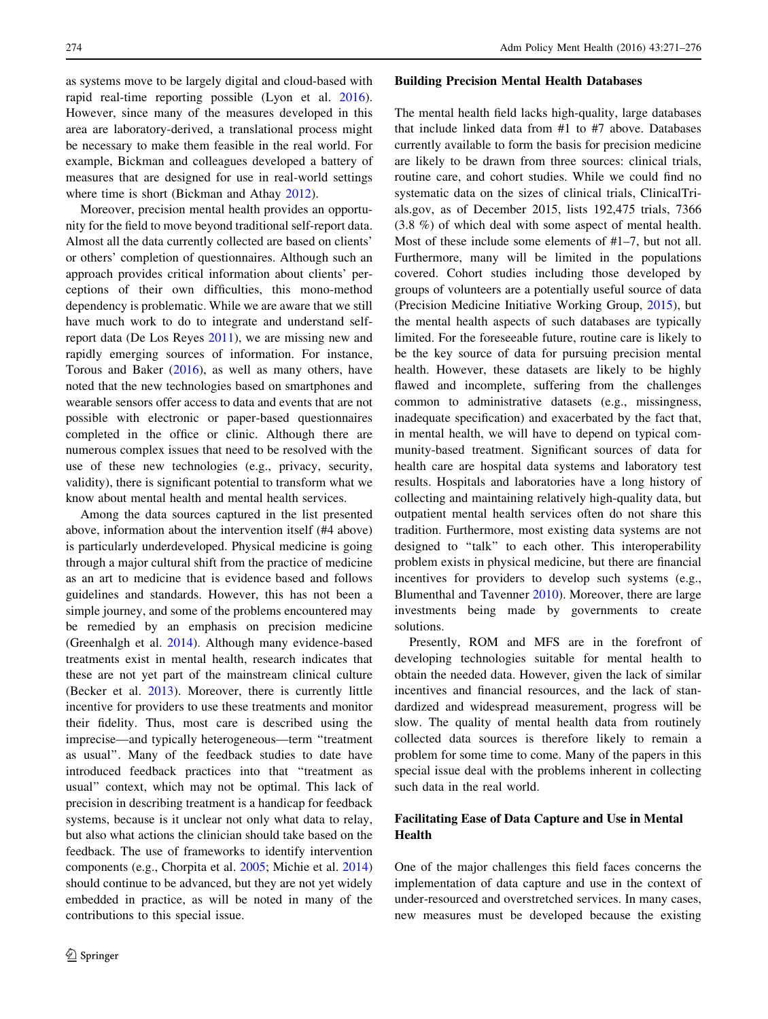as systems move to be largely digital and cloud-based with rapid real-time reporting possible (Lyon et al. [2016](#page-5-0)). However, since many of the measures developed in this area are laboratory-derived, a translational process might be necessary to make them feasible in the real world. For example, Bickman and colleagues developed a battery of measures that are designed for use in real-world settings where time is short (Bickman and Athay [2012\)](#page-5-0).

Moreover, precision mental health provides an opportunity for the field to move beyond traditional self-report data. Almost all the data currently collected are based on clients' or others' completion of questionnaires. Although such an approach provides critical information about clients' perceptions of their own difficulties, this mono-method dependency is problematic. While we are aware that we still have much work to do to integrate and understand selfreport data (De Los Reyes [2011\)](#page-5-0), we are missing new and rapidly emerging sources of information. For instance, Torous and Baker  $(2016)$  $(2016)$ , as well as many others, have noted that the new technologies based on smartphones and wearable sensors offer access to data and events that are not possible with electronic or paper-based questionnaires completed in the office or clinic. Although there are numerous complex issues that need to be resolved with the use of these new technologies (e.g., privacy, security, validity), there is significant potential to transform what we know about mental health and mental health services.

Among the data sources captured in the list presented above, information about the intervention itself (#4 above) is particularly underdeveloped. Physical medicine is going through a major cultural shift from the practice of medicine as an art to medicine that is evidence based and follows guidelines and standards. However, this has not been a simple journey, and some of the problems encountered may be remedied by an emphasis on precision medicine (Greenhalgh et al. [2014\)](#page-5-0). Although many evidence-based treatments exist in mental health, research indicates that these are not yet part of the mainstream clinical culture (Becker et al. [2013\)](#page-4-0). Moreover, there is currently little incentive for providers to use these treatments and monitor their fidelity. Thus, most care is described using the imprecise—and typically heterogeneous—term ''treatment as usual''. Many of the feedback studies to date have introduced feedback practices into that ''treatment as usual'' context, which may not be optimal. This lack of precision in describing treatment is a handicap for feedback systems, because is it unclear not only what data to relay, but also what actions the clinician should take based on the feedback. The use of frameworks to identify intervention components (e.g., Chorpita et al. [2005](#page-5-0); Michie et al. [2014\)](#page-5-0) should continue to be advanced, but they are not yet widely embedded in practice, as will be noted in many of the contributions to this special issue.

#### Building Precision Mental Health Databases

The mental health field lacks high-quality, large databases that include linked data from #1 to #7 above. Databases currently available to form the basis for precision medicine are likely to be drawn from three sources: clinical trials, routine care, and cohort studies. While we could find no systematic data on the sizes of clinical trials, ClinicalTrials.gov, as of December 2015, lists 192,475 trials, 7366 (3.8 %) of which deal with some aspect of mental health. Most of these include some elements of #1–7, but not all. Furthermore, many will be limited in the populations covered. Cohort studies including those developed by groups of volunteers are a potentially useful source of data (Precision Medicine Initiative Working Group, [2015](#page-5-0)), but the mental health aspects of such databases are typically limited. For the foreseeable future, routine care is likely to be the key source of data for pursuing precision mental health. However, these datasets are likely to be highly flawed and incomplete, suffering from the challenges common to administrative datasets (e.g., missingness, inadequate specification) and exacerbated by the fact that, in mental health, we will have to depend on typical community-based treatment. Significant sources of data for health care are hospital data systems and laboratory test results. Hospitals and laboratories have a long history of collecting and maintaining relatively high-quality data, but outpatient mental health services often do not share this tradition. Furthermore, most existing data systems are not designed to ''talk'' to each other. This interoperability problem exists in physical medicine, but there are financial incentives for providers to develop such systems (e.g., Blumenthal and Tavenner [2010](#page-5-0)). Moreover, there are large investments being made by governments to create solutions.

Presently, ROM and MFS are in the forefront of developing technologies suitable for mental health to obtain the needed data. However, given the lack of similar incentives and financial resources, and the lack of standardized and widespread measurement, progress will be slow. The quality of mental health data from routinely collected data sources is therefore likely to remain a problem for some time to come. Many of the papers in this special issue deal with the problems inherent in collecting such data in the real world.

# Facilitating Ease of Data Capture and Use in Mental Health

One of the major challenges this field faces concerns the implementation of data capture and use in the context of under-resourced and overstretched services. In many cases, new measures must be developed because the existing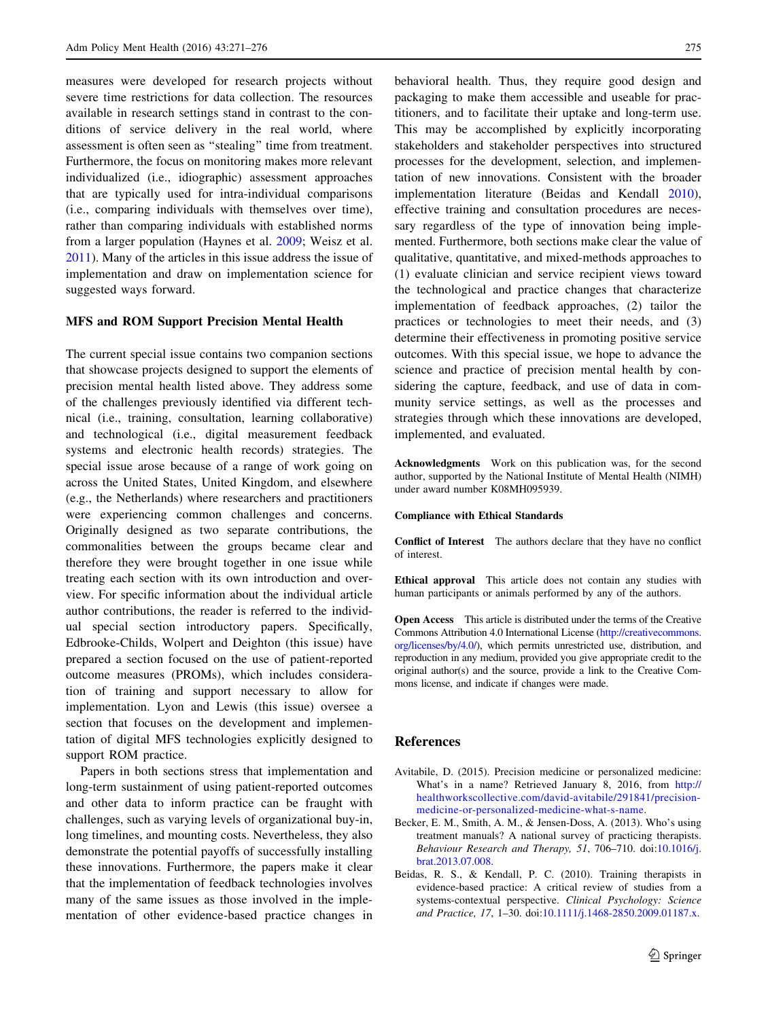<span id="page-4-0"></span>measures were developed for research projects without severe time restrictions for data collection. The resources available in research settings stand in contrast to the conditions of service delivery in the real world, where assessment is often seen as ''stealing'' time from treatment. Furthermore, the focus on monitoring makes more relevant individualized (i.e., idiographic) assessment approaches that are typically used for intra-individual comparisons (i.e., comparing individuals with themselves over time), rather than comparing individuals with established norms from a larger population (Haynes et al. [2009](#page-5-0); Weisz et al. [2011\)](#page-5-0). Many of the articles in this issue address the issue of implementation and draw on implementation science for suggested ways forward.

### MFS and ROM Support Precision Mental Health

The current special issue contains two companion sections that showcase projects designed to support the elements of precision mental health listed above. They address some of the challenges previously identified via different technical (i.e., training, consultation, learning collaborative) and technological (i.e., digital measurement feedback systems and electronic health records) strategies. The special issue arose because of a range of work going on across the United States, United Kingdom, and elsewhere (e.g., the Netherlands) where researchers and practitioners were experiencing common challenges and concerns. Originally designed as two separate contributions, the commonalities between the groups became clear and therefore they were brought together in one issue while treating each section with its own introduction and overview. For specific information about the individual article author contributions, the reader is referred to the individual special section introductory papers. Specifically, Edbrooke-Childs, Wolpert and Deighton (this issue) have prepared a section focused on the use of patient-reported outcome measures (PROMs), which includes consideration of training and support necessary to allow for implementation. Lyon and Lewis (this issue) oversee a section that focuses on the development and implementation of digital MFS technologies explicitly designed to support ROM practice.

Papers in both sections stress that implementation and long-term sustainment of using patient-reported outcomes and other data to inform practice can be fraught with challenges, such as varying levels of organizational buy-in, long timelines, and mounting costs. Nevertheless, they also demonstrate the potential payoffs of successfully installing these innovations. Furthermore, the papers make it clear that the implementation of feedback technologies involves many of the same issues as those involved in the implementation of other evidence-based practice changes in

behavioral health. Thus, they require good design and packaging to make them accessible and useable for practitioners, and to facilitate their uptake and long-term use. This may be accomplished by explicitly incorporating stakeholders and stakeholder perspectives into structured processes for the development, selection, and implementation of new innovations. Consistent with the broader implementation literature (Beidas and Kendall 2010), effective training and consultation procedures are necessary regardless of the type of innovation being implemented. Furthermore, both sections make clear the value of qualitative, quantitative, and mixed-methods approaches to (1) evaluate clinician and service recipient views toward the technological and practice changes that characterize implementation of feedback approaches, (2) tailor the practices or technologies to meet their needs, and (3) determine their effectiveness in promoting positive service outcomes. With this special issue, we hope to advance the science and practice of precision mental health by considering the capture, feedback, and use of data in community service settings, as well as the processes and strategies through which these innovations are developed, implemented, and evaluated.

Acknowledgments Work on this publication was, for the second author, supported by the National Institute of Mental Health (NIMH) under award number K08MH095939.

#### Compliance with Ethical Standards

Conflict of Interest The authors declare that they have no conflict of interest.

Ethical approval This article does not contain any studies with human participants or animals performed by any of the authors.

Open Access This article is distributed under the terms of the Creative Commons Attribution 4.0 International License ([http://creativecommons.](http://creativecommons.org/licenses/by/4.0/) [org/licenses/by/4.0/\)](http://creativecommons.org/licenses/by/4.0/), which permits unrestricted use, distribution, and reproduction in any medium, provided you give appropriate credit to the original author(s) and the source, provide a link to the Creative Commons license, and indicate if changes were made.

### References

- Avitabile, D. (2015). Precision medicine or personalized medicine: What's in a name? Retrieved January 8, 2016, from [http://](http://healthworkscollective.com/david-avitabile/291841/precision-medicine-or-personalized-medicine-what-s-name) [healthworkscollective.com/david-avitabile/291841/precision](http://healthworkscollective.com/david-avitabile/291841/precision-medicine-or-personalized-medicine-what-s-name)[medicine-or-personalized-medicine-what-s-name.](http://healthworkscollective.com/david-avitabile/291841/precision-medicine-or-personalized-medicine-what-s-name)
- Becker, E. M., Smith, A. M., & Jensen-Doss, A. (2013). Who's using treatment manuals? A national survey of practicing therapists. Behaviour Research and Therapy, 51, 706–710. doi:[10.1016/j.](http://dx.doi.org/10.1016/j.brat.2013.07.008) [brat.2013.07.008.](http://dx.doi.org/10.1016/j.brat.2013.07.008)
- Beidas, R. S., & Kendall, P. C. (2010). Training therapists in evidence-based practice: A critical review of studies from a systems-contextual perspective. Clinical Psychology: Science and Practice, 17, 1–30. doi:[10.1111/j.1468-2850.2009.01187.x.](http://dx.doi.org/10.1111/j.1468-2850.2009.01187.x)